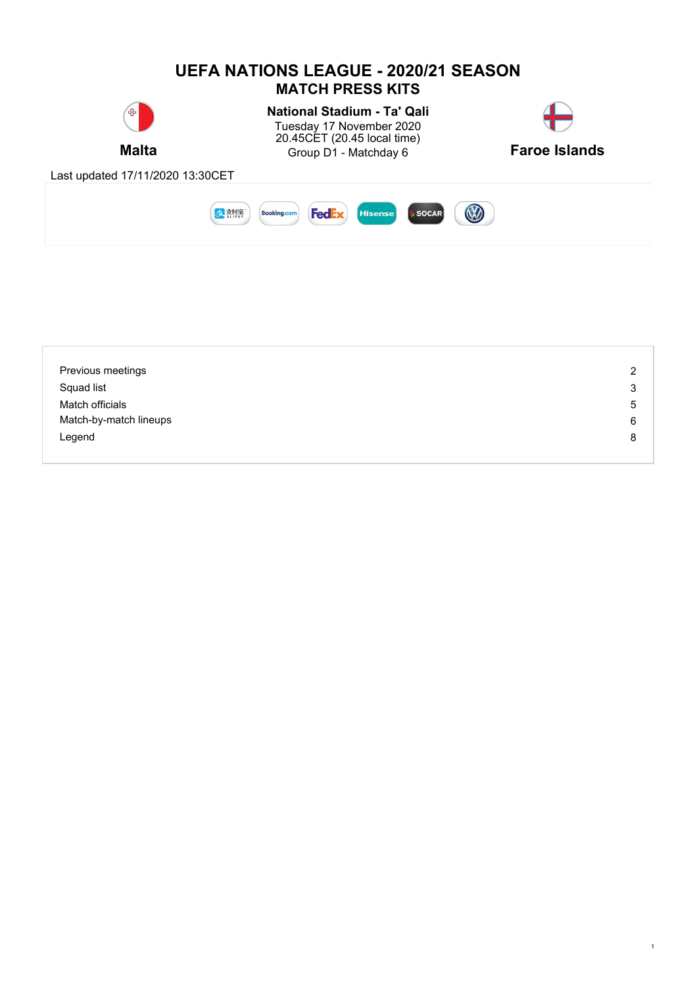

| Previous meetings      | 2 |
|------------------------|---|
| Squad list             | 3 |
| Match officials        | 5 |
| Match-by-match lineups | 6 |
| Legend                 | 8 |
|                        |   |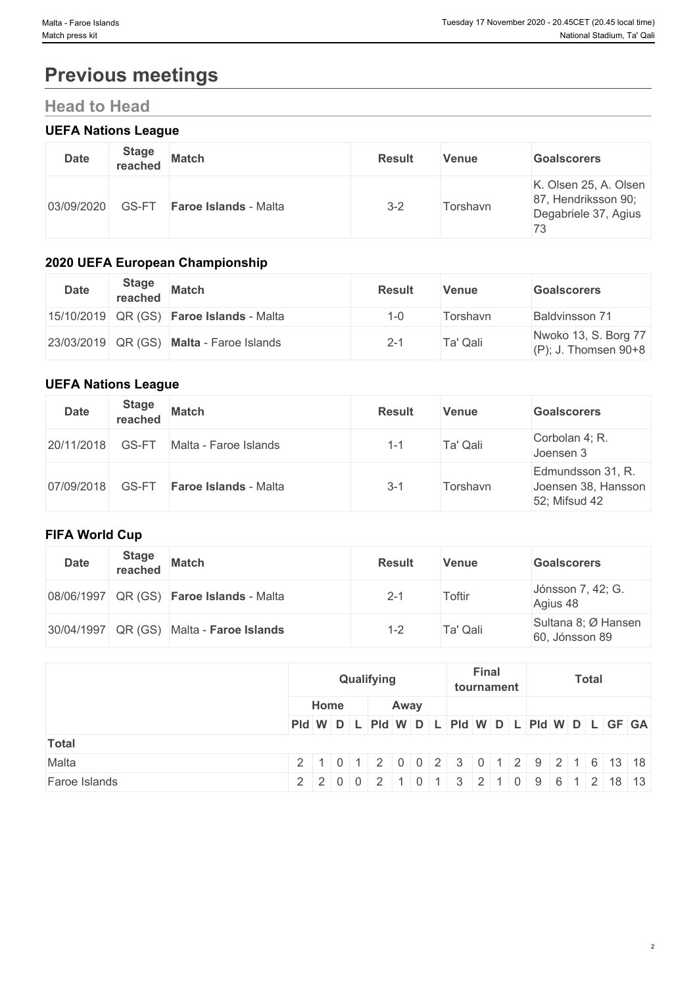# **Previous meetings**

# **Head to Head**

### **UEFA Nations League**

| <b>Date</b> | <b>Stage</b><br>reached | <b>Match</b>                 | <b>Result</b> | Venue    | <b>Goalscorers</b>                                                         |
|-------------|-------------------------|------------------------------|---------------|----------|----------------------------------------------------------------------------|
| 03/09/2020  | GS-FT                   | <b>Faroe Islands - Malta</b> | $3 - 2$       | Torshavn | K. Olsen 25, A. Olsen<br>87, Hendriksson 90;<br>Degabriele 37, Agius<br>73 |

### **2020 UEFA European Championship**

| <b>Date</b> | <b>Stage</b><br>reached | <b>Match</b>                                    | <b>Result</b> | <b>Venue</b> | <b>Goalscorers</b>                              |
|-------------|-------------------------|-------------------------------------------------|---------------|--------------|-------------------------------------------------|
|             |                         | 15/10/2019 QR (GS) <b>Faroe Islands</b> - Malta | 1-0           | Torshavn     | Baldvinsson 71                                  |
|             |                         | 23/03/2019 QR (GS) Malta - Faroe Islands        | $2 - 1$       | Ta' Qali     | Nwoko 13, S. Borg 77<br>$(P)$ ; J. Thomsen 90+8 |

### **UEFA Nations League**

| <b>Date</b> | <b>Stage</b><br>reached | <b>Match</b>                 | <b>Result</b> | <b>Venue</b> | <b>Goalscorers</b>                                        |
|-------------|-------------------------|------------------------------|---------------|--------------|-----------------------------------------------------------|
| 20/11/2018  | GS-FT                   | Malta - Faroe Islands        | 1-1           | Ta' Qali     | Corbolan 4; R.<br>Joensen 3                               |
| 07/09/2018  | GS-FT                   | <b>Faroe Islands - Malta</b> | $3 - 1$       | Torshavn     | Edmundsson 31, R.<br>Joensen 38, Hansson<br>52; Mifsud 42 |

## **FIFA World Cup**

| <b>Date</b> | <b>Stage</b><br>reached | <b>Match</b>                                    | <b>Result</b> | Venue    | <b>Goalscorers</b>                    |
|-------------|-------------------------|-------------------------------------------------|---------------|----------|---------------------------------------|
|             |                         | 08/06/1997 QR (GS) <b>Faroe Islands</b> - Malta | $2 - 1$       | Toftir   | Jónsson 7, 42; G.<br>Agius 48         |
|             |                         | 30/04/1997 QR (GS) Malta - Faroe Islands        | $1 - 2$       | Ta' Qali | Sultana 8; Ø Hansen<br>60, Jónsson 89 |

|               |                                               |      | Qualifying |      |  | tournament | Final |  |  | <b>Total</b> |  |  |
|---------------|-----------------------------------------------|------|------------|------|--|------------|-------|--|--|--------------|--|--|
|               |                                               | Home |            | Away |  |            |       |  |  |              |  |  |
|               | PId W D L PId W D L PId W D L PId W D L GF GA |      |            |      |  |            |       |  |  |              |  |  |
| <b>Total</b>  |                                               |      |            |      |  |            |       |  |  |              |  |  |
| Malta         | 2 1 0 1 2 0 0 2 3 0 1 2 9 2 1 6 13 18         |      |            |      |  |            |       |  |  |              |  |  |
| Faroe Islands | 2 2 0 0 2 1 0 1 3 2 1 0 9 6 1 2 18 13         |      |            |      |  |            |       |  |  |              |  |  |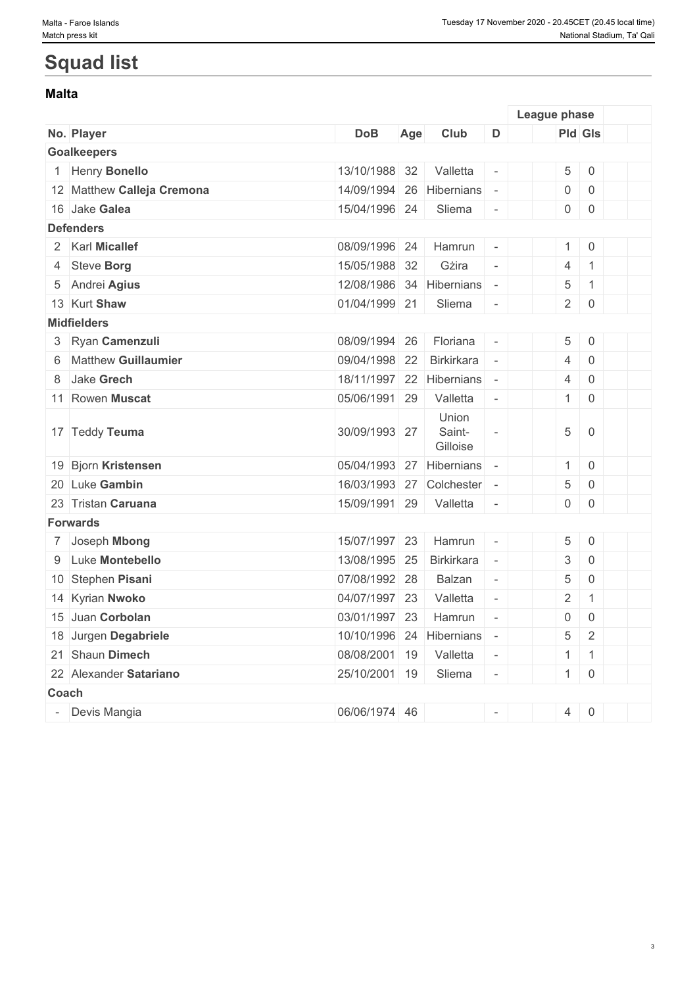# **Squad list**

#### **Malta**

|              |                            |                          |     |                             |                          | League phase        |                     |  |
|--------------|----------------------------|--------------------------|-----|-----------------------------|--------------------------|---------------------|---------------------|--|
|              | No. Player                 | <b>DoB</b>               | Age | Club                        | D                        | Pld Gls             |                     |  |
|              | <b>Goalkeepers</b>         |                          |     |                             |                          |                     |                     |  |
|              | 1 Henry Bonello            | 13/10/1988 32            |     | Valletta                    |                          | $\sqrt{5}$          | $\mathbf 0$         |  |
|              | 12 Matthew Calleja Cremona | 14/09/1994 26            |     | Hibernians                  |                          | $\boldsymbol{0}$    | $\mathbf 0$         |  |
|              | 16 Jake Galea              | 15/04/1996 24            |     | Sliema                      |                          | $\mathsf{O}$        | $\mathbf 0$         |  |
|              | <b>Defenders</b>           |                          |     |                             |                          |                     |                     |  |
|              | 2 Karl Micallef            | 08/09/1996 24            |     | Hamrun                      | $\overline{\phantom{a}}$ | $\mathbf{1}$        | $\overline{0}$      |  |
|              | 4 Steve Borg               | 15/05/1988 32            |     | Gżira                       | $\overline{\phantom{a}}$ | $\overline{4}$      | $\mathbf{1}$        |  |
|              | 5 Andrei Agius             | 12/08/1986 34 Hibernians |     |                             | $\sim$                   | $\sqrt{5}$          | $\mathbf{1}$        |  |
|              | 13 Kurt Shaw               | 01/04/1999 21            |     | Sliema                      | $\overline{\phantom{a}}$ | $\overline{2}$      | $\mathbf 0$         |  |
|              | <b>Midfielders</b>         |                          |     |                             |                          |                     |                     |  |
|              | 3 Ryan Camenzuli           | 08/09/1994 26            |     | Floriana                    |                          | 5                   | $\mathbf 0$         |  |
| 6            | <b>Matthew Guillaumier</b> | 09/04/1998 22            |     | <b>Birkirkara</b>           |                          | $\overline{4}$      | $\overline{0}$      |  |
| 8            | Jake Grech                 | 18/11/1997 22 Hibernians |     |                             |                          | $\overline{4}$      | $\overline{0}$      |  |
|              | 11 Rowen Muscat            | 05/06/1991 29            |     | Valletta                    | $\overline{\phantom{a}}$ | $\mathbf{1}$        | $\mathbf 0$         |  |
|              | 17 Teddy Teuma             | 30/09/1993 27            |     | Union<br>Saint-<br>Gilloise |                          | $\,$ 5 $\,$         | $\overline{0}$      |  |
|              | 19 Bjorn Kristensen        | 05/04/1993 27 Hibernians |     |                             |                          | $\mathbf{1}$        | $\,0\,$             |  |
|              | 20 Luke Gambin             |                          |     | 16/03/1993 27 Colchester    | $\overline{\phantom{a}}$ | $\,$ 5 $\,$         | $\,0\,$             |  |
|              | 23 Tristan Caruana         | 15/09/1991 29            |     | Valletta                    |                          | $\mathsf{O}\xspace$ | $\mathbf 0$         |  |
|              | <b>Forwards</b>            |                          |     |                             |                          |                     |                     |  |
|              | 7 Joseph Mbong             | 15/07/1997 23            |     | Hamrun                      |                          | 5                   | $\,0\,$             |  |
|              | 9 Luke Montebello          | 13/08/1995 25            |     | <b>Birkirkara</b>           | $\equiv$                 | 3                   | $\mathbf 0$         |  |
|              | 10 Stephen Pisani          | 07/08/1992 28            |     | Balzan                      | $\equiv$                 | $\sqrt{5}$          | $\mathsf{O}\xspace$ |  |
|              | 14 Kyrian Nwoko            | 04/07/1997 23            |     | Valletta                    | $\equiv$                 | $\overline{2}$      | $\mathbf{1}$        |  |
|              | 15 Juan Corbolan           | 03/01/1997 23            |     | Hamrun                      | $\omega$                 | 0                   | $\mathbf 0$         |  |
|              | 18 Jurgen Degabriele       | 10/10/1996 24 Hibernians |     |                             | $\bar{a}$                | $\sqrt{5}$          | $\overline{2}$      |  |
|              | 21 Shaun Dimech            | 08/08/2001 19            |     | Valletta                    | $\overline{\phantom{a}}$ | $\mathbf{1}$        | $\mathbf{1}$        |  |
|              | 22 Alexander Satariano     | 25/10/2001 19            |     | Sliema                      |                          | 1                   | $\mathbf 0$         |  |
| <b>Coach</b> |                            |                          |     |                             |                          |                     |                     |  |
|              | - Devis Mangia             | 06/06/1974 46            |     |                             | $\sim$                   | $\overline{4}$      | $\mathbf 0$         |  |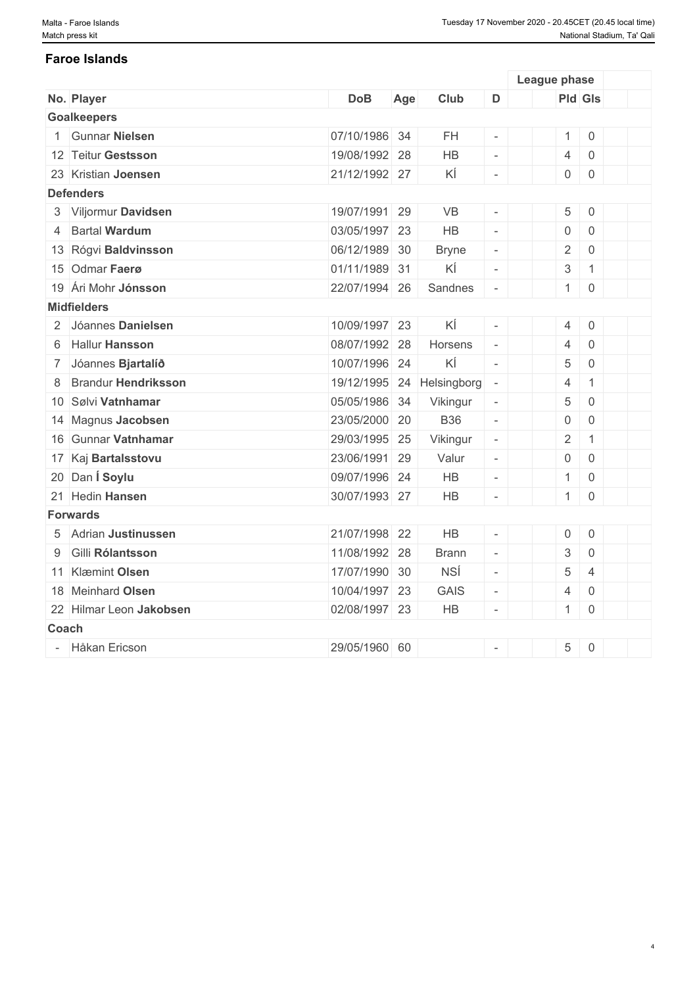# **Faroe Islands**

|              |                            |               |     |              |                          | League phase              |                     |  |
|--------------|----------------------------|---------------|-----|--------------|--------------------------|---------------------------|---------------------|--|
|              | No. Player                 | <b>DoB</b>    | Age | Club         | D                        | Pld Gls                   |                     |  |
|              | <b>Goalkeepers</b>         |               |     |              |                          |                           |                     |  |
|              | <b>Gunnar Nielsen</b>      | 07/10/1986 34 |     | <b>FH</b>    |                          | $\mathbf{1}$              | $\mathbf 0$         |  |
|              | 12 Teitur Gestsson         | 19/08/1992 28 |     | HB           | $\equiv$                 | $\overline{4}$            | $\mathbf 0$         |  |
|              | 23 Kristian Joensen        | 21/12/1992 27 |     | ΚÍ           | $\omega$                 | $\mathsf{O}\xspace$       | $\mathbf 0$         |  |
|              | <b>Defenders</b>           |               |     |              |                          |                           |                     |  |
|              | 3 Viljormur Davidsen       | 19/07/1991 29 |     | VB           |                          | 5                         | $\mathbf 0$         |  |
|              | 4 Bartal Wardum            | 03/05/1997 23 |     | <b>HB</b>    | $\mathcal{L}$            | $\mathbf 0$               | $\mathbf 0$         |  |
|              | 13 Rógvi Baldvinsson       | 06/12/1989 30 |     | <b>Bryne</b> | $\overline{\phantom{a}}$ | $\overline{2}$            | $\mathbf 0$         |  |
|              | 15 Odmar Faerø             | 01/11/1989 31 |     | ΚÍ           | $\overline{\phantom{a}}$ | $\ensuremath{\mathsf{3}}$ | $\overline{1}$      |  |
|              | 19 Ári Mohr Jónsson        | 22/07/1994 26 |     | Sandnes      | $\omega$                 | 1                         | $\overline{0}$      |  |
|              | <b>Midfielders</b>         |               |     |              |                          |                           |                     |  |
|              | 2 Jóannes Danielsen        | 10/09/1997 23 |     | ΚÍ           | $\omega$                 | $\overline{4}$            | $\mathsf{0}$        |  |
|              | 6 Hallur Hansson           | 08/07/1992 28 |     | Horsens      | $\omega$                 | $\overline{4}$            | $\overline{0}$      |  |
|              | 7 Jóannes Bjartalíð        | 10/07/1996 24 |     | ΚÍ           | $\omega$                 | 5                         | $\overline{0}$      |  |
| 8            | <b>Brandur Hendriksson</b> | 19/12/1995 24 |     | Helsingborg  | $\equiv$                 | $\overline{4}$            | $\mathbf{1}$        |  |
|              | 10 Sølvi Vatnhamar         | 05/05/1986 34 |     | Vikingur     | $\overline{\phantom{a}}$ | $\,$ 5 $\,$               | $\overline{0}$      |  |
|              | 14 Magnus Jacobsen         | 23/05/2000 20 |     | <b>B36</b>   | $\overline{\phantom{a}}$ | $\mathsf{O}\xspace$       | $\mathbf 0$         |  |
|              | 16 Gunnar Vatnhamar        | 29/03/1995 25 |     | Vikingur     | $\overline{\phantom{a}}$ | $\sqrt{2}$                | $\mathbf{1}$        |  |
|              | 17 Kaj Bartalsstovu        | 23/06/1991 29 |     | Valur        | $\overline{\phantom{a}}$ | $\mathsf{O}\xspace$       | $\mathbf 0$         |  |
|              | 20 Dan Í Soylu             | 09/07/1996 24 |     | HB           | $\overline{\phantom{a}}$ | $\mathbf{1}$              | $\overline{0}$      |  |
|              | 21 Hedin Hansen            | 30/07/1993 27 |     | HB           | $\omega$                 | 1                         | $\mathbf 0$         |  |
|              | <b>Forwards</b>            |               |     |              |                          |                           |                     |  |
|              | 5 Adrian Justinussen       | 21/07/1998 22 |     | <b>HB</b>    | $\omega$                 | $\mathbf 0$               | $\mathbf 0$         |  |
| 9            | Gilli Rólantsson           | 11/08/1992 28 |     | <b>Brann</b> | $\overline{\phantom{a}}$ | $\ensuremath{\mathsf{3}}$ | $\mathsf{O}\xspace$ |  |
|              | 11 Klæmint Olsen           | 17/07/1990 30 |     | <b>NSÍ</b>   | $\overline{\phantom{a}}$ | $\sqrt{5}$                | $\overline{4}$      |  |
|              | 18 Meinhard Olsen          | 10/04/1997 23 |     | <b>GAIS</b>  | $\overline{\phantom{a}}$ | $\overline{4}$            | $\mathbf 0$         |  |
|              | 22 Hilmar Leon Jakobsen    | 02/08/1997 23 |     | HB           | $\sim$                   | $\mathbf{1}$              | $\mathbf 0$         |  |
| <b>Coach</b> |                            |               |     |              |                          |                           |                     |  |
|              | - Håkan Ericson            | 29/05/1960 60 |     |              | $\overline{a}$           | 5                         | $\mathbf 0$         |  |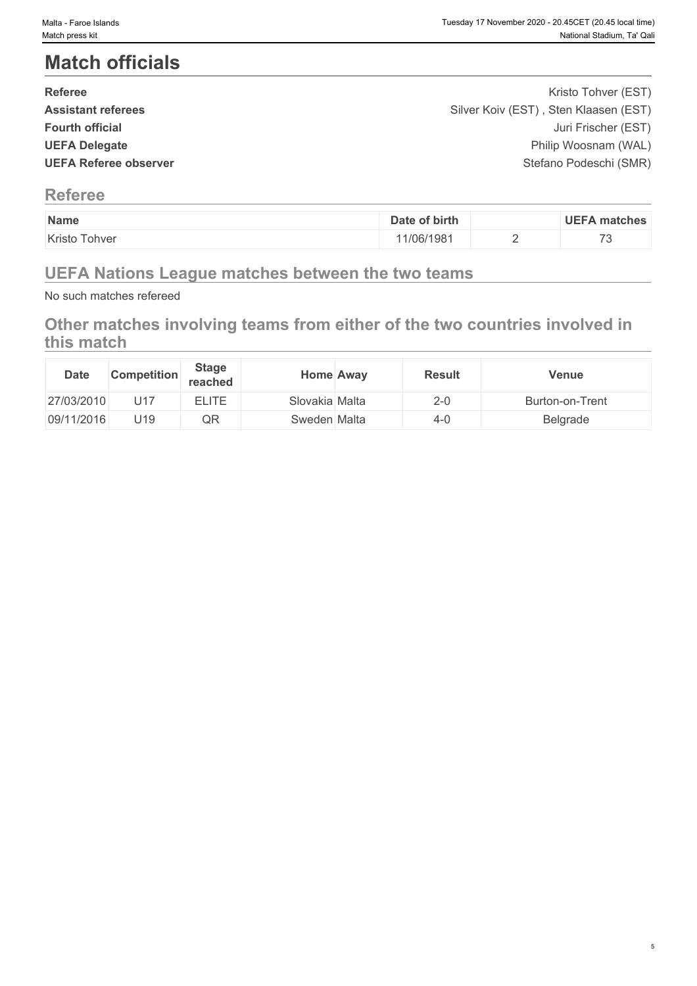# **Match officials**

| <b>Referee</b>               | Kristo Tohver (EST)                   |  |
|------------------------------|---------------------------------------|--|
| <b>Assistant referees</b>    | Silver Koiv (EST), Sten Klaasen (EST) |  |
| <b>Fourth official</b>       | Juri Frischer (EST)                   |  |
| <b>UEFA Delegate</b>         | Philip Woosnam (WAL)                  |  |
| <b>UEFA Referee observer</b> | Stefano Podeschi (SMR)                |  |
|                              |                                       |  |

### **Referee**

| Name                                                | of birth<br>Jate | <b>UFFA</b><br>∖ matches                                    |
|-----------------------------------------------------|------------------|-------------------------------------------------------------|
| $\overline{\phantom{0}}$<br>Kristo<br><b>Tohver</b> | 1/06/1981        | $\rightarrow$<br>$\overline{\phantom{0}}$<br>$\cdot$ $\sim$ |

## **UEFA Nations League matches between the two teams**

No such matches refereed

## **Other matches involving teams from either of the two countries involved in this match**

| <b>Date</b> | <b>Competition</b> | <b>Stage</b><br>reached |                | Home Away | <b>Result</b> | Venue           |
|-------------|--------------------|-------------------------|----------------|-----------|---------------|-----------------|
| 27/03/2010  | U17                | <b>ELITE</b>            | Slovakia Malta |           | $2 - 0$       | Burton-on-Trent |
| 09/11/2016  | U19                | QR                      | Sweden Malta   |           | 4-0           | Belgrade        |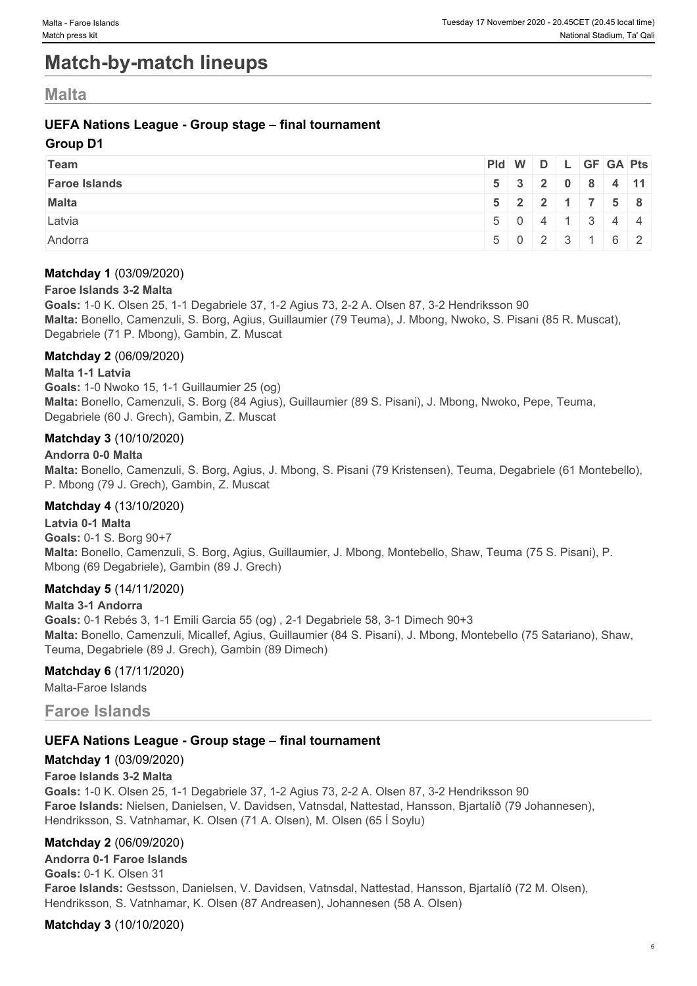# **Match-by-match lineups**

### **Malta**

#### **UEFA Nations League - Group stage – final tournament**

#### **Group D1**

| <b>Team</b>          | $PId \mid W \mid D \mid L \mid GF \mid GA \mid Pts \mid$ |  |  |                                                     |  |
|----------------------|----------------------------------------------------------|--|--|-----------------------------------------------------|--|
| <b>Faroe Islands</b> |                                                          |  |  | $5 \mid 3 \mid 2 \mid 0 \mid 8 \mid 4 \mid 11 \mid$ |  |
| <b>Malta</b>         |                                                          |  |  | 5 2 2 1 7 5 8                                       |  |
| Latvia               |                                                          |  |  | $5 \t0 \t4 \t1 \t3 \t4 \t4$                         |  |
| Andorra              |                                                          |  |  | $5 \mid 0 \mid 2 \mid 3 \mid 1 \mid 6 \mid 2 \mid$  |  |

#### **Matchday 1** (03/09/2020)

#### **Faroe Islands 3-2 Malta**

**Goals:** 1-0 K. Olsen 25, 1-1 Degabriele 37, 1-2 Agius 73, 2-2 A. Olsen 87, 3-2 Hendriksson 90 **Malta:** Bonello, Camenzuli, S. Borg, Agius, Guillaumier (79 Teuma), J. Mbong, Nwoko, S. Pisani (85 R. Muscat), Degabriele (71 P. Mbong), Gambin, Z. Muscat

#### **Matchday 2** (06/09/2020)

#### **Malta 1-1 Latvia**

**Goals:** 1-0 Nwoko 15, 1-1 Guillaumier 25 (og) **Malta:** Bonello, Camenzuli, S. Borg (84 Agius), Guillaumier (89 S. Pisani), J. Mbong, Nwoko, Pepe, Teuma, Degabriele (60 J. Grech), Gambin, Z. Muscat

#### **Matchday 3** (10/10/2020)

#### **Andorra 0-0 Malta**

**Malta:** Bonello, Camenzuli, S. Borg, Agius, J. Mbong, S. Pisani (79 Kristensen), Teuma, Degabriele (61 Montebello), P. Mbong (79 J. Grech), Gambin, Z. Muscat

#### **Matchday 4** (13/10/2020)

**Latvia 0-1 Malta Goals:** 0-1 S. Borg 90+7 **Malta:** Bonello, Camenzuli, S. Borg, Agius, Guillaumier, J. Mbong, Montebello, Shaw, Teuma (75 S. Pisani), P. Mbong (69 Degabriele), Gambin (89 J. Grech)

#### **Matchday 5** (14/11/2020)

#### **Malta 3-1 Andorra**

**Goals:** 0-1 Rebés 3, 1-1 Emili Garcia 55 (og) , 2-1 Degabriele 58, 3-1 Dimech 90+3 **Malta:** Bonello, Camenzuli, Micallef, Agius, Guillaumier (84 S. Pisani), J. Mbong, Montebello (75 Satariano), Shaw, Teuma, Degabriele (89 J. Grech), Gambin (89 Dimech)

#### **Matchday 6** (17/11/2020)

Malta-Faroe Islands

### **Faroe Islands**

#### **UEFA Nations League - Group stage – final tournament**

#### **Matchday 1** (03/09/2020)

#### **Faroe Islands 3-2 Malta**

**Goals:** 1-0 K. Olsen 25, 1-1 Degabriele 37, 1-2 Agius 73, 2-2 A. Olsen 87, 3-2 Hendriksson 90 **Faroe Islands:** Nielsen, Danielsen, V. Davidsen, Vatnsdal, Nattestad, Hansson, Bjartalíð (79 Johannesen), Hendriksson, S. Vatnhamar, K. Olsen (71 A. Olsen), M. Olsen (65 Í Soylu)

#### **Matchday 2** (06/09/2020)

**Andorra 0-1 Faroe Islands Goals:** 0-1 K. Olsen 31 **Faroe Islands:** Gestsson, Danielsen, V. Davidsen, Vatnsdal, Nattestad, Hansson, Bjartalíð (72 M. Olsen), Hendriksson, S. Vatnhamar, K. Olsen (87 Andreasen), Johannesen (58 A. Olsen)

**Matchday 3** (10/10/2020)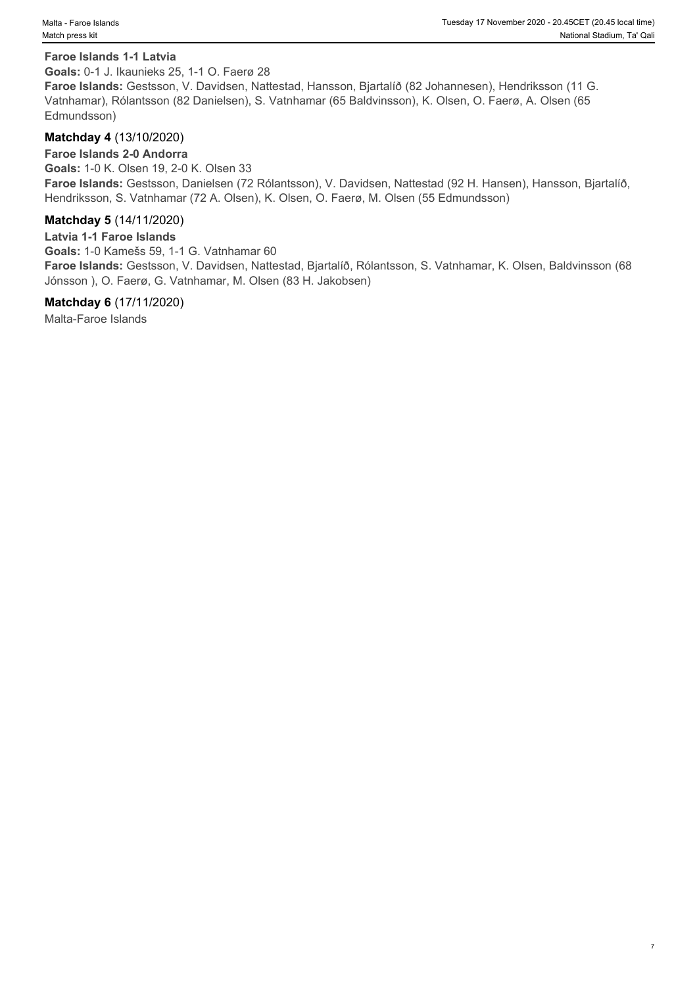#### **Faroe Islands 1-1 Latvia**

**Goals:** 0-1 J. Ikaunieks 25, 1-1 O. Faerø 28

**Faroe Islands:** Gestsson, V. Davidsen, Nattestad, Hansson, Bjartalíð (82 Johannesen), Hendriksson (11 G. Vatnhamar), Rólantsson (82 Danielsen), S. Vatnhamar (65 Baldvinsson), K. Olsen, O. Faerø, A. Olsen (65 Edmundsson)

#### **Matchday 4** (13/10/2020)

#### **Faroe Islands 2-0 Andorra**

**Goals:** 1-0 K. Olsen 19, 2-0 K. Olsen 33 **Faroe Islands:** Gestsson, Danielsen (72 Rólantsson), V. Davidsen, Nattestad (92 H. Hansen), Hansson, Bjartalíð, Hendriksson, S. Vatnhamar (72 A. Olsen), K. Olsen, O. Faerø, M. Olsen (55 Edmundsson)

#### **Matchday 5** (14/11/2020)

**Latvia 1-1 Faroe Islands Goals:** 1-0 Kamešs 59, 1-1 G. Vatnhamar 60 **Faroe Islands:** Gestsson, V. Davidsen, Nattestad, Bjartalíð, Rólantsson, S. Vatnhamar, K. Olsen, Baldvinsson (68 Jónsson ), O. Faerø, G. Vatnhamar, M. Olsen (83 H. Jakobsen)

#### **Matchday 6** (17/11/2020)

Malta-Faroe Islands